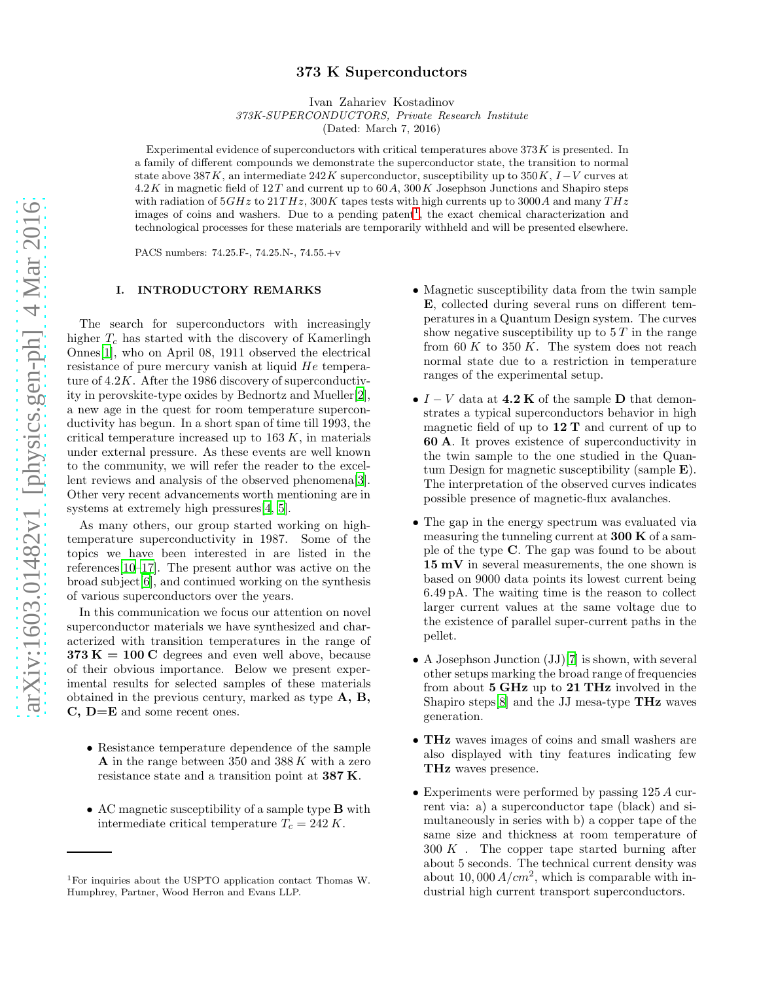# 373 K Superconductors

Ivan Zahariev Kostadinov

373K-SUPERCONDUCTORS, Private Research Institute

(Dated: March 7, 2016)

Experimental evidence of superconductors with critical temperatures above  $373K$  is presented. In a family of different compounds we demonstrate the superconductor state, the transition to normal state above 387K, an intermediate 242K superconductor, susceptibility up to 350K,  $I-V$  curves at  $4.2K$  in magnetic field of  $12T$  and current up to  $60A$ ,  $300K$  Josephson Junctions and Shapiro steps with radiation of  $5GHz$  to  $21THz$ ,  $300K$  tapes tests with high currents up to 3000A and many  $THz$ images of coins and washers. Due to a pending patent<sup>1</sup>, the exact chemical characterization and technological processes for these materials are temporarily withheld and will be presented elsewhere.

PACS numbers: 74.25.F-, 74.25.N-, 74.55.+v

#### I. INTRODUCTORY REMARKS

The search for superconductors with increasingly higher  $T_c$  has started with the discovery of Kamerlingh Onnes[\[1\]](#page-8-0), who on April 08, 1911 observed the electrical resistance of pure mercury vanish at liquid He temperature of 4.2K. After the 1986 discovery of superconductivity in perovskite-type oxides by Bednortz and Mueller[\[2\]](#page-8-1), a new age in the quest for room temperature superconductivity has begun. In a short span of time till 1993, the critical temperature increased up to  $163 K$ , in materials under external pressure. As these events are well known to the community, we will refer the reader to the excellent reviews and analysis of the observed phenomena[\[3\]](#page-8-2). Other very recent advancements worth mentioning are in systems at extremely high pressures[\[4,](#page-9-0) [5\]](#page-9-1).

As many others, our group started working on hightemperature superconductivity in 1987. Some of the topics we have been interested in are listed in the references[\[10](#page-9-2)[–17](#page-9-3)]. The present author was active on the broad subject[\[6\]](#page-9-4), and continued working on the synthesis of various superconductors over the years.

In this communication we focus our attention on novel superconductor materials we have synthesized and characterized with transition temperatures in the range of  $373 K = 100 C$  degrees and even well above, because of their obvious importance. Below we present experimental results for selected samples of these materials obtained in the previous century, marked as type A, B, C, D=E and some recent ones.

- Resistance temperature dependence of the sample A in the range between 350 and  $388 K$  with a zero resistance state and a transition point at 387 K.
- AC magnetic susceptibility of a sample type B with intermediate critical temperature  $T_c = 242 K$ .
- Magnetic susceptibility data from the twin sample E, collected during several runs on different temperatures in a Quantum Design system. The curves show negative susceptibility up to  $5 T$  in the range from  $60 K$  to  $350 K$ . The system does not reach normal state due to a restriction in temperature ranges of the experimental setup.
- $I V$  data at 4.2 K of the sample D that demonstrates a typical superconductors behavior in high magnetic field of up to  $12$  T and current of up to 60 A. It proves existence of superconductivity in the twin sample to the one studied in the Quantum Design for magnetic susceptibility (sample E). The interpretation of the observed curves indicates possible presence of magnetic-flux avalanches.
- The gap in the energy spectrum was evaluated via measuring the tunneling current at 300 K of a sample of the type C. The gap was found to be about 15 mV in several measurements, the one shown is based on 9000 data points its lowest current being 6.49 pA. The waiting time is the reason to collect larger current values at the same voltage due to the existence of parallel super-current paths in the pellet.
- A Josephson Junction  $(JJ)[7]$  $(JJ)[7]$  $(JJ)[7]$  is shown, with several other setups marking the broad range of frequencies from about 5 GHz up to 21 THz involved in the Shapiro steps[\[8\]](#page-9-6) and the JJ mesa-type THz waves generation.
- THz waves images of coins and small washers are also displayed with tiny features indicating few THz waves presence.
- Experiments were performed by passing 125 A current via: a) a superconductor tape (black) and simultaneously in series with b) a copper tape of the same size and thickness at room temperature of  $300 K$ . The copper tape started burning after about 5 seconds. The technical current density was about 10,000  $A/cm^2$ , which is comparable with industrial high current transport superconductors.

<sup>1</sup>For inquiries about the USPTO application contact Thomas W. Humphrey, Partner, Wood Herron and Evans LLP.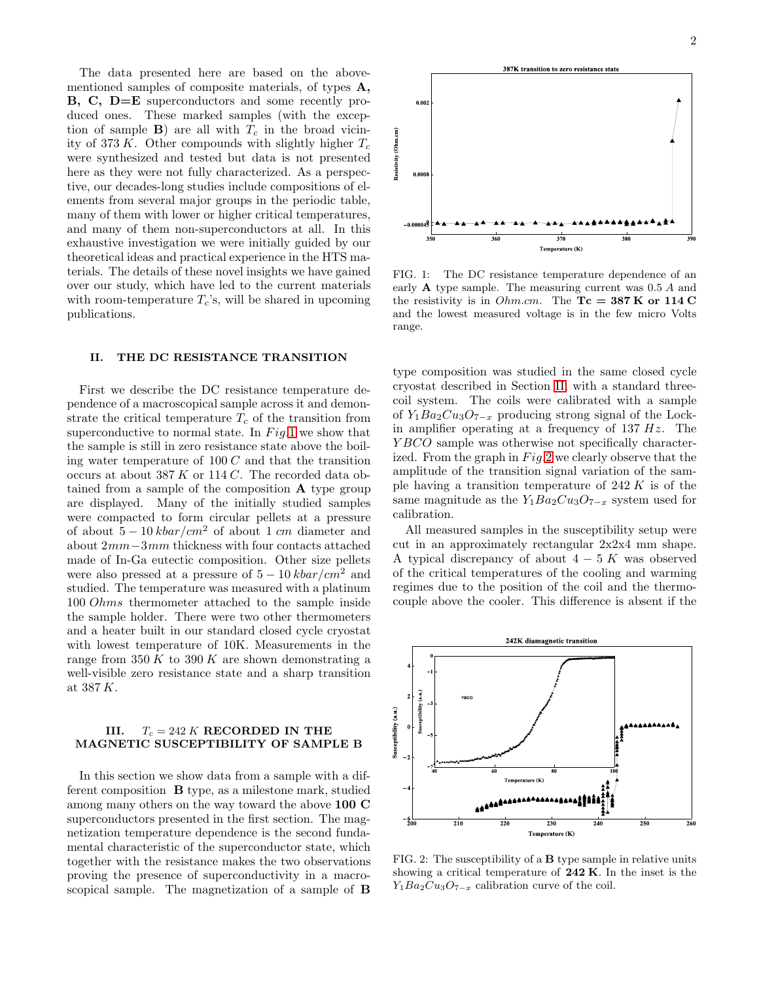The data presented here are based on the abovementioned samples of composite materials, of types A, B, C, D=E superconductors and some recently produced ones. These marked samples (with the exception of sample **B**) are all with  $T_c$  in the broad vicinity of 373 K. Other compounds with slightly higher  $T_c$ were synthesized and tested but data is not presented here as they were not fully characterized. As a perspective, our decades-long studies include compositions of elements from several major groups in the periodic table, many of them with lower or higher critical temperatures, and many of them non-superconductors at all. In this exhaustive investigation we were initially guided by our theoretical ideas and practical experience in the HTS materials. The details of these novel insights we have gained over our study, which have led to the current materials with room-temperature  $T_c$ 's, will be shared in upcoming publications.

### <span id="page-1-1"></span>II. THE DC RESISTANCE TRANSITION

First we describe the DC resistance temperature dependence of a macroscopical sample across it and demonstrate the critical temperature  $T_c$  of the transition from superconductive to normal state. In  $Fig.1$  $Fig.1$  we show that the sample is still in zero resistance state above the boiling water temperature of  $100 C$  and that the transition occurs at about 387 K or 114 C. The recorded data obtained from a sample of the composition A type group are displayed. Many of the initially studied samples were compacted to form circular pellets at a pressure of about  $5 - 10 kbar/cm^2$  of about 1 cm diameter and about 2mm−3mm thickness with four contacts attached made of In-Ga eutectic composition. Other size pellets were also pressed at a pressure of  $5 - 10 kbar/cm^2$  and studied. The temperature was measured with a platinum 100 Ohms thermometer attached to the sample inside the sample holder. There were two other thermometers and a heater built in our standard closed cycle cryostat with lowest temperature of 10K. Measurements in the range from  $350 K$  to  $390 K$  are shown demonstrating a well-visible zero resistance state and a sharp transition at 387 $K_{\cdot}$ 

### III.  $T_c = 242 K$  RECORDED IN THE MAGNETIC SUSCEPTIBILITY OF SAMPLE B

In this section we show data from a sample with a different composition B type, as a milestone mark, studied among many others on the way toward the above 100 C superconductors presented in the first section. The magnetization temperature dependence is the second fundamental characteristic of the superconductor state, which together with the resistance makes the two observations proving the presence of superconductivity in a macroscopical sample. The magnetization of a sample of B



<span id="page-1-0"></span>FIG. 1: The DC resistance temperature dependence of an early A type sample. The measuring current was 0.5 A and the resistivity is in *Ohm.cm*. The  $Tc = 387$  K or 114 C and the lowest measured voltage is in the few micro Volts range.

type composition was studied in the same closed cycle cryostat described in Section [II,](#page-1-1) with a standard threecoil system. The coils were calibrated with a sample of  $Y_1Ba_2Cu_3O_{7-x}$  producing strong signal of the Lockin amplifier operating at a frequency of  $137 Hz$ . The YBCO sample was otherwise not specifically characterized. From the graph in  $Fig.2$  $Fig.2$  we clearly observe that the amplitude of the transition signal variation of the sample having a transition temperature of  $242 K$  is of the same magnitude as the  $Y_1Ba_2Cu_3O_{7-x}$  system used for calibration.

All measured samples in the susceptibility setup were cut in an approximately rectangular 2x2x4 mm shape. A typical discrepancy of about  $4-5$  K was observed of the critical temperatures of the cooling and warming regimes due to the position of the coil and the thermocouple above the cooler. This difference is absent if the



<span id="page-1-2"></span>FIG. 2: The susceptibility of a B type sample in relative units showing a critical temperature of  $242$  K. In the inset is the  $Y_1Ba_2Cu_3O_{7-x}$  calibration curve of the coil.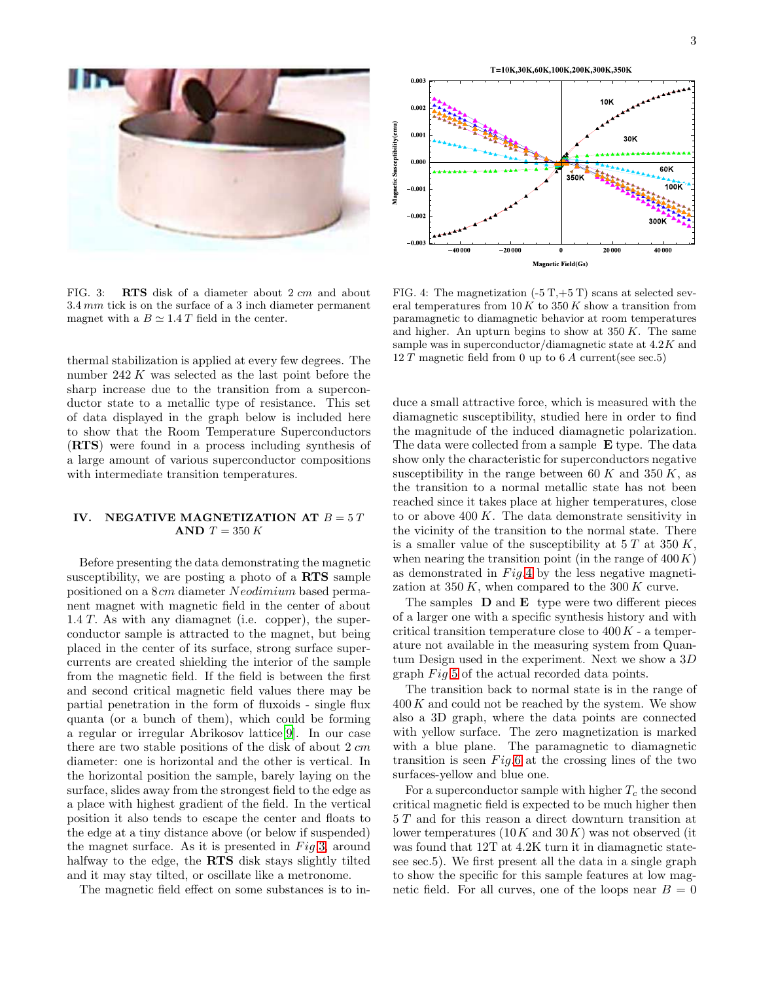

FIG. 3: RTS disk of a diameter about 2 cm and about 3.4 mm tick is on the surface of a 3 inch diameter permanent magnet with a  $B \simeq 1.4 T$  field in the center.

<span id="page-2-0"></span>thermal stabilization is applied at every few degrees. The number  $242 K$  was selected as the last point before the sharp increase due to the transition from a superconductor state to a metallic type of resistance. This set of data displayed in the graph below is included here to show that the Room Temperature Superconductors (RTS) were found in a process including synthesis of a large amount of various superconductor compositions with intermediate transition temperatures.

### IV. NEGATIVE MAGNETIZATION AT  $B = 5 T$ AND  $T = 350 K$

Before presenting the data demonstrating the magnetic susceptibility, we are posting a photo of a RTS sample positioned on a 8cm diameter Neodimium based permanent magnet with magnetic field in the center of about  $1.4 T$ . As with any diamagnet (i.e. copper), the superconductor sample is attracted to the magnet, but being placed in the center of its surface, strong surface supercurrents are created shielding the interior of the sample from the magnetic field. If the field is between the first and second critical magnetic field values there may be partial penetration in the form of fluxoids - single flux quanta (or a bunch of them), which could be forming a regular or irregular Abrikosov lattice[\[9\]](#page-9-7). In our case there are two stable positions of the disk of about  $2 \, \text{cm}$ diameter: one is horizontal and the other is vertical. In the horizontal position the sample, barely laying on the surface, slides away from the strongest field to the edge as a place with highest gradient of the field. In the vertical position it also tends to escape the center and floats to the edge at a tiny distance above (or below if suspended) the magnet surface. As it is presented in  $Fig.3$ , around halfway to the edge, the RTS disk stays slightly tilted and it may stay tilted, or oscillate like a metronome.

The magnetic field effect on some substances is to in-



<span id="page-2-1"></span>FIG. 4: The magnetization  $(-5 T,+5 T)$  scans at selected several temperatures from  $10 K$  to  $350 K$  show a transition from paramagnetic to diamagnetic behavior at room temperatures and higher. An upturn begins to show at  $350 K$ . The same sample was in superconductor/diamagnetic state at 4.2K and 12 T magnetic field from 0 up to  $6 \text{ }\mathrm{\Lambda}$  current(see sec.5)

duce a small attractive force, which is measured with the diamagnetic susceptibility, studied here in order to find the magnitude of the induced diamagnetic polarization. The data were collected from a sample E type. The data show only the characteristic for superconductors negative susceptibility in the range between 60 K and 350 K, as the transition to a normal metallic state has not been reached since it takes place at higher temperatures, close to or above  $400 K$ . The data demonstrate sensitivity in the vicinity of the transition to the normal state. There is a smaller value of the susceptibility at  $5 T$  at  $350 K$ , when nearing the transition point (in the range of  $400 K$ ) as demonstrated in  $Fig.4$  $Fig.4$  by the less negative magnetization at 350 K, when compared to the 300 K curve.

The samples  $\bf{D}$  and  $\bf{E}$  type were two different pieces of a larger one with a specific synthesis history and with critical transition temperature close to  $400K$  - a temperature not available in the measuring system from Quantum Design used in the experiment. Next we show a 3D graph  $Fig.5$  $Fig.5$  of the actual recorded data points.

The transition back to normal state is in the range of  $400 K$  and could not be reached by the system. We show also a 3D graph, where the data points are connected with yellow surface. The zero magnetization is marked with a blue plane. The paramagnetic to diamagnetic transition is seen  $Fig.6$  $Fig.6$  at the crossing lines of the two surfaces-yellow and blue one.

For a superconductor sample with higher  $T_c$  the second critical magnetic field is expected to be much higher then 5 T and for this reason a direct downturn transition at lower temperatures  $(10K \text{ and } 30K)$  was not observed (it was found that 12T at 4.2K turn it in diamagnetic statesee sec.5). We first present all the data in a single graph to show the specific for this sample features at low magnetic field. For all curves, one of the loops near  $B = 0$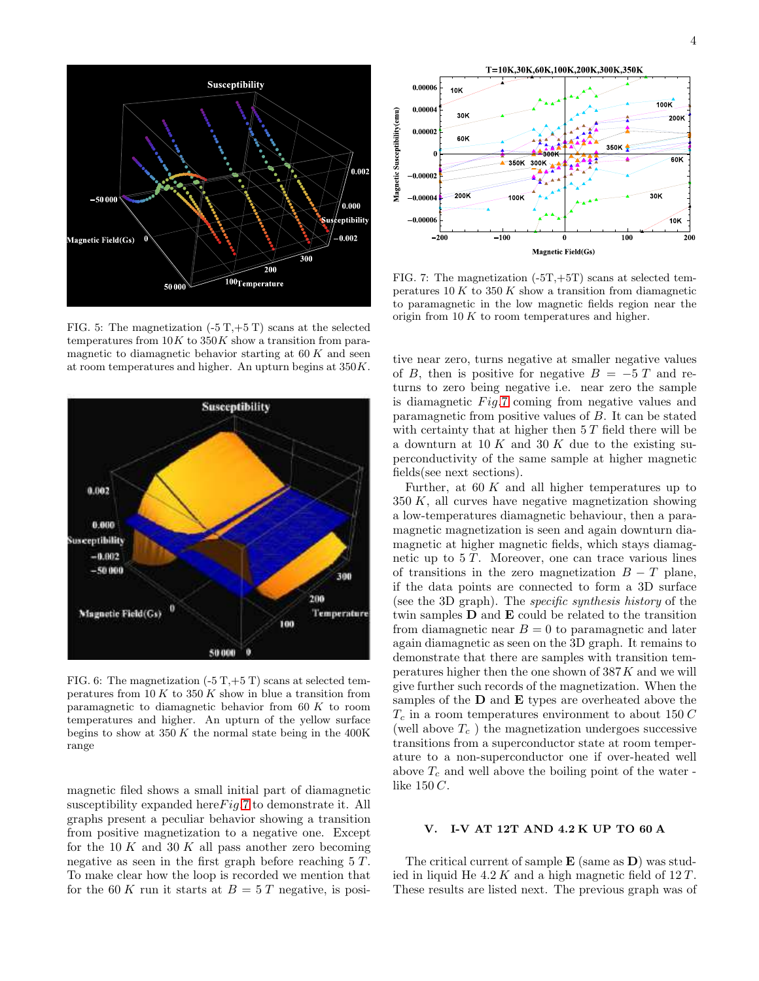

<span id="page-3-0"></span>FIG. 5: The magnetization  $(-5T,+5T)$  scans at the selected temperatures from  $10K$  to  $350K$  show a transition from paramagnetic to diamagnetic behavior starting at  $60 K$  and seen at room temperatures and higher. An upturn begins at 350K.



<span id="page-3-1"></span>FIG. 6: The magnetization  $(-5 T,+5 T)$  scans at selected temperatures from  $10 K$  to  $350 K$  show in blue a transition from paramagnetic to diamagnetic behavior from  $60 K$  to room temperatures and higher. An upturn of the yellow surface begins to show at  $350 K$  the normal state being in the 400K range

magnetic filed shows a small initial part of diamagnetic susceptibility expanded here  $Fig.7$  $Fig.7$  to demonstrate it. All graphs present a peculiar behavior showing a transition from positive magnetization to a negative one. Except for the 10 K and 30 K all pass another zero becoming negative as seen in the first graph before reaching  $5 T$ . To make clear how the loop is recorded we mention that for the 60 K run it starts at  $B = 5 T$  negative, is posi-



<span id="page-3-2"></span>FIG. 7: The magnetization  $(-5T,+5T)$  scans at selected temperatures  $10 K$  to  $350 K$  show a transition from diamagnetic to paramagnetic in the low magnetic fields region near the origin from  $10 K$  to room temperatures and higher.

tive near zero, turns negative at smaller negative values of B, then is positive for negative  $B = -5T$  and returns to zero being negative i.e. near zero the sample is diamagnetic  $Fig.7 \text{ coming from negative values and}$  $Fig.7 \text{ coming from negative values and}$  $Fig.7 \text{ coming from negative values and}$ paramagnetic from positive values of B. It can be stated with certainty that at higher then  $5 T$  field there will be a downturn at 10 K and 30 K due to the existing superconductivity of the same sample at higher magnetic fields(see next sections).

Further, at  $60 K$  and all higher temperatures up to  $350 K$ , all curves have negative magnetization showing a low-temperatures diamagnetic behaviour, then a paramagnetic magnetization is seen and again downturn diamagnetic at higher magnetic fields, which stays diamagnetic up to  $5 T$ . Moreover, one can trace various lines of transitions in the zero magnetization  $B - T$  plane, if the data points are connected to form a 3D surface (see the 3D graph). The specific synthesis history of the twin samples D and E could be related to the transition from diamagnetic near  $B = 0$  to paramagnetic and later again diamagnetic as seen on the 3D graph. It remains to demonstrate that there are samples with transition temperatures higher then the one shown of 387K and we will give further such records of the magnetization. When the samples of the  **and**  $**E**$  **types are overheated above the**  $T_c$  in a room temperatures environment to about 150  $C$ (well above  $T_c$ ) the magnetization undergoes successive transitions from a superconductor state at room temperature to a non-superconductor one if over-heated well above  $T_c$  and well above the boiling point of the water like 150 C.

## V. I-V AT 12T AND 4.2 K UP TO 60 A

The critical current of sample  $\bf{E}$  (same as  $\bf{D}$ ) was studied in liquid He  $4.2 K$  and a high magnetic field of  $12 T$ . These results are listed next. The previous graph was of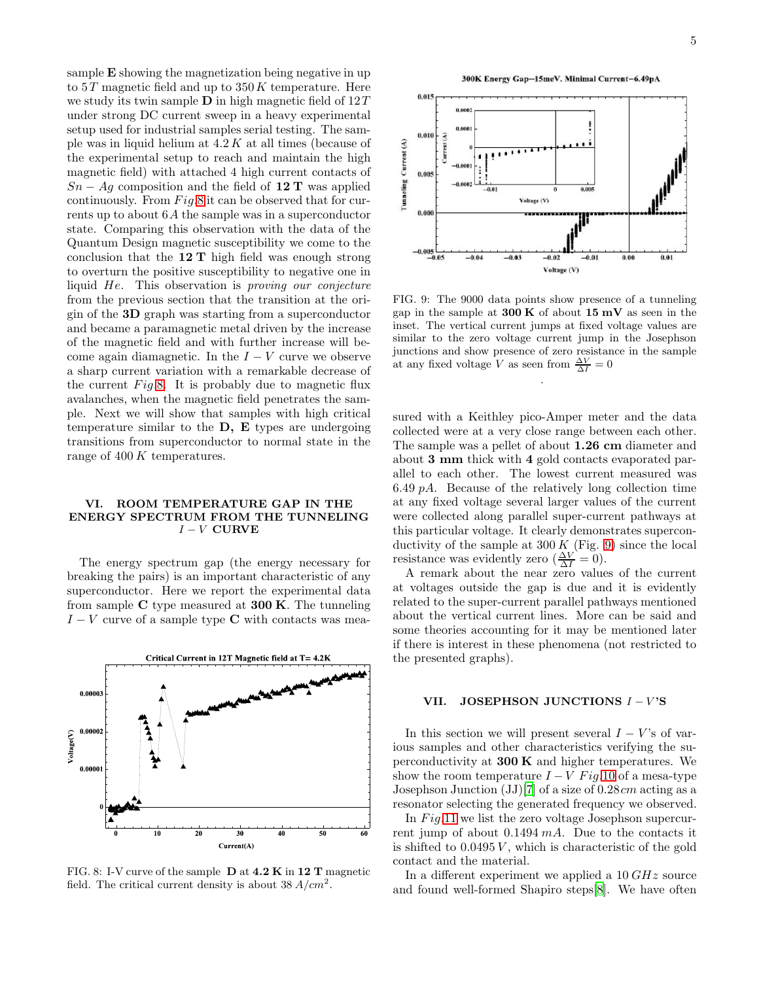sample E showing the magnetization being negative in up to  $5T$  magnetic field and up to  $350K$  temperature. Here we study its twin sample  **in high magnetic field of**  $12T$ under strong DC current sweep in a heavy experimental setup used for industrial samples serial testing. The sample was in liquid helium at  $4.2 K$  at all times (because of the experimental setup to reach and maintain the high magnetic field) with attached 4 high current contacts of  $Sn - Aq$  composition and the field of 12 T was applied continuously. From  $Fig.8$  $Fig.8$  it can be observed that for currents up to about 6A the sample was in a superconductor state. Comparing this observation with the data of the Quantum Design magnetic susceptibility we come to the conclusion that the  $12$  T high field was enough strong to overturn the positive susceptibility to negative one in liquid He. This observation is proving our conjecture from the previous section that the transition at the origin of the 3D graph was starting from a superconductor and became a paramagnetic metal driven by the increase of the magnetic field and with further increase will become again diamagnetic. In the  $I - V$  curve we observe a sharp current variation with a remarkable decrease of the current  $Fig.8$ . It is probably due to magnetic flux avalanches, when the magnetic field penetrates the sample. Next we will show that samples with high critical temperature similar to the  $D$ ,  $E$  types are undergoing transitions from superconductor to normal state in the range of 400 K temperatures.

### VI. ROOM TEMPERATURE GAP IN THE ENERGY SPECTRUM FROM THE TUNNELING  $I - V$  CURVE

The energy spectrum gap (the energy necessary for breaking the pairs) is an important characteristic of any superconductor. Here we report the experimental data from sample  $C$  type measured at **300 K**. The tunneling  $I - V$  curve of a sample type C with contacts was mea-



<span id="page-4-0"></span>FIG. 8: I-V curve of the sample D at 4.2 K in 12 T magnetic field. The critical current density is about  $38 A/cm^2$ .





<span id="page-4-1"></span>FIG. 9: The 9000 data points show presence of a tunneling gap in the sample at  $300 \text{ K}$  of about  $15 \text{ mV}$  as seen in the inset. The vertical current jumps at fixed voltage values are similar to the zero voltage current jump in the Josephson junctions and show presence of zero resistance in the sample at any fixed voltage V as seen from  $\frac{\Delta V}{\Delta I} = 0$ 

.

sured with a Keithley pico-Amper meter and the data collected were at a very close range between each other. The sample was a pellet of about 1.26 cm diameter and about 3 mm thick with 4 gold contacts evaporated parallel to each other. The lowest current measured was 6.49  $pA$ . Because of the relatively long collection time at any fixed voltage several larger values of the current were collected along parallel super-current pathways at this particular voltage. It clearly demonstrates superconductivity of the sample at  $300 K$  (Fig. [9\)](#page-4-1) since the local resistance was evidently zero  $(\frac{\Delta V}{\Delta I} = 0)$ .

A remark about the near zero values of the current at voltages outside the gap is due and it is evidently related to the super-current parallel pathways mentioned about the vertical current lines. More can be said and some theories accounting for it may be mentioned later if there is interest in these phenomena (not restricted to the presented graphs).

# VII. JOSEPHSON JUNCTIONS  $I - V$ 'S

In this section we will present several  $I - V$ 's of various samples and other characteristics verifying the superconductivity at  $300 \text{ K}$  and higher temperatures. We show the room temperature  $I - V$  Fig.[10](#page-5-0) of a mesa-type Josephson Junction  $(JJ)[7]$  $(JJ)[7]$  of a size of 0.28cm acting as a resonator selecting the generated frequency we observed.

In  $Fig.11$  $Fig.11$  we list the zero voltage Josephson supercurrent jump of about  $0.1494 \, mA$ . Due to the contacts it is shifted to  $0.0495 V$ , which is characteristic of the gold contact and the material.

In a different experiment we applied a 10 GHz source and found well-formed Shapiro steps[\[8\]](#page-9-6). We have often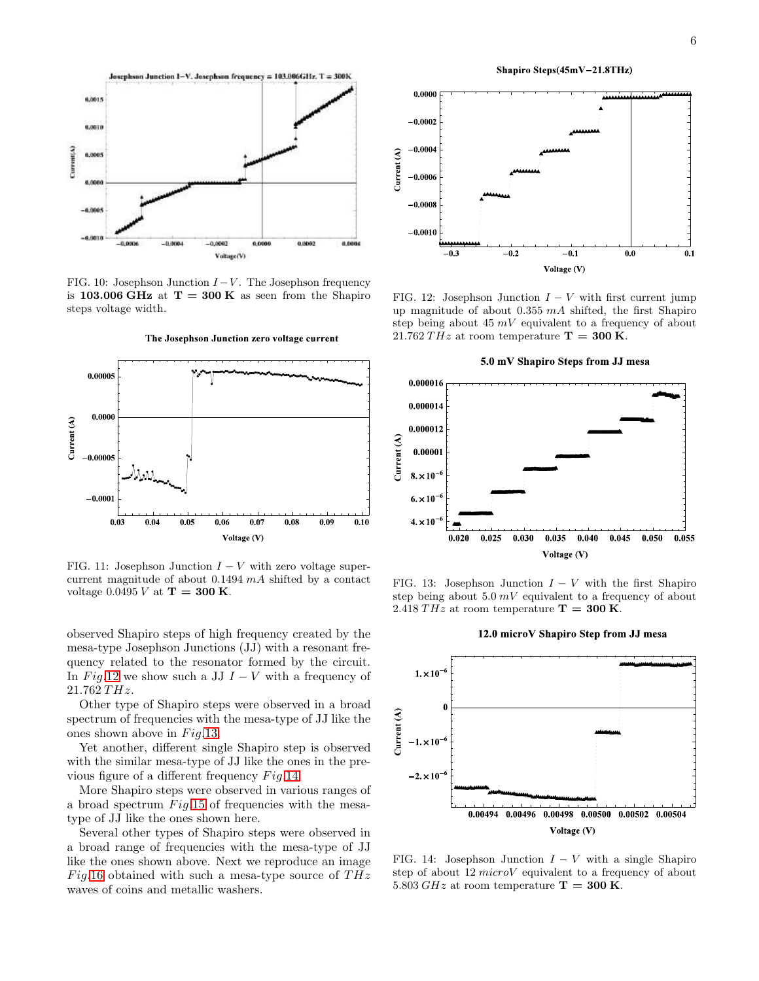

<span id="page-5-0"></span>FIG. 10: Josephson Junction  $I - V$ . The Josephson frequency is 103.006 GHz at  $T = 300$  K as seen from the Shapiro steps voltage width.



The Josephson Junction zero voltage current

<span id="page-5-1"></span>FIG. 11: Josephson Junction  $I - V$  with zero voltage supercurrent magnitude of about  $0.1494$   $mA$  shifted by a contact voltage 0.0495 V at  $T = 300$  K.

observed Shapiro steps of high frequency created by the mesa-type Josephson Junctions (JJ) with a resonant frequency related to the resonator formed by the circuit. In Fig.[12](#page-5-2) we show such a JJ  $I - V$  with a frequency of  $21.762 THz.$ 

Other type of Shapiro steps were observed in a broad spectrum of frequencies with the mesa-type of JJ like the ones shown above in  $Fig. 13$ .

Yet another, different single Shapiro step is observed with the similar mesa-type of JJ like the ones in the previous figure of a different frequency  $Fig.14$ .

More Shapiro steps were observed in various ranges of a broad spectrum  $Fig.15$  $Fig.15$  of frequencies with the mesatype of JJ like the ones shown here.

Several other types of Shapiro steps were observed in a broad range of frequencies with the mesa-type of JJ like the ones shown above. Next we reproduce an image Fig.[16](#page-6-1) obtained with such a mesa-type source of  $THz$ waves of coins and metallic washers.



Shapiro Steps(45mV-21.8THz)

<span id="page-5-2"></span>FIG. 12: Josephson Junction  $I - V$  with first current jump up magnitude of about  $0.355$   $mA$  shifted, the first Shapiro step being about 45  $mV$  equivalent to a frequency of about 21.762 THz at room temperature  $T = 300$  K.

5.0 mV Shapiro Steps from JJ mesa



FIG. 13: Josephson Junction  $I - V$  with the first Shapiro step being about  $5.0 \, mV$  equivalent to a frequency of about 2.418 THz at room temperature  $T = 300$  K.

#### <span id="page-5-3"></span>12.0 microV Shapiro Step from JJ mesa



<span id="page-5-4"></span>FIG. 14: Josephson Junction  $I - V$  with a single Shapiro step of about 12 microV equivalent to a frequency of about 5.803 GHz at room temperature  $T = 300$  K.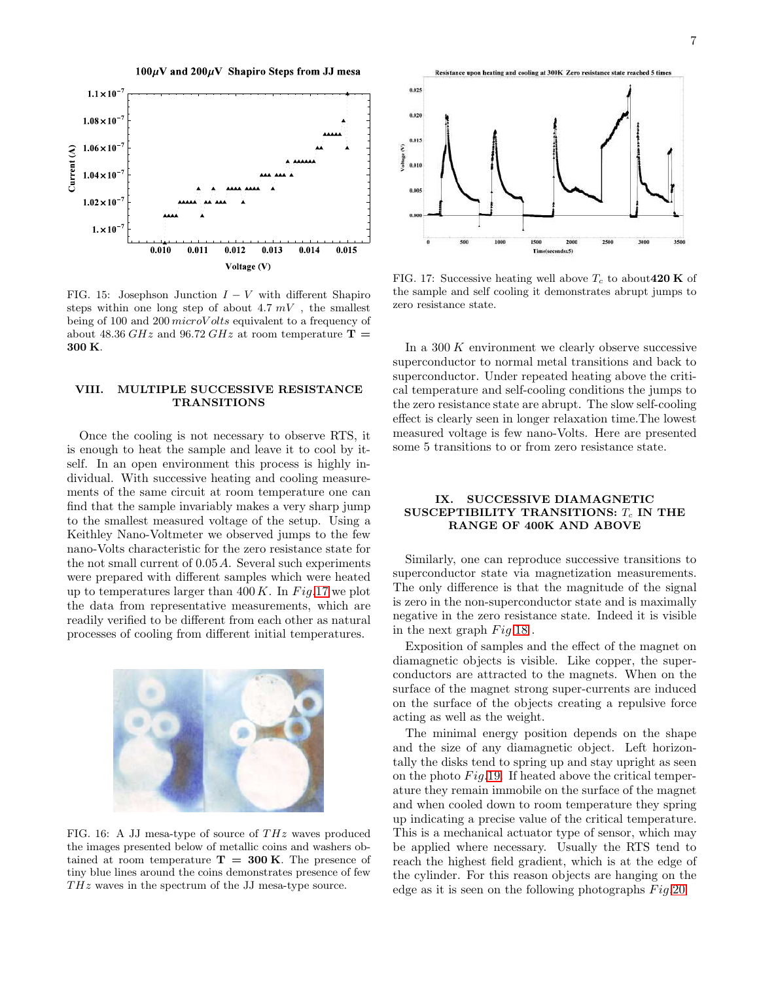$100 \mu V$  and  $200 \mu V$  Shapiro Steps from JJ mesa



<span id="page-6-0"></span>FIG. 15: Josephson Junction  $I - V$  with different Shapiro steps within one long step of about  $4.7 \, mV$ , the smallest being of 100 and 200 *microV olts* equivalent to a frequency of about 48.36 GHz and 96.72 GHz at room temperature  $\mathbf{T} =$ 300 K.

### VIII. MULTIPLE SUCCESSIVE RESISTANCE **TRANSITIONS**

Once the cooling is not necessary to observe RTS, it is enough to heat the sample and leave it to cool by itself. In an open environment this process is highly individual. With successive heating and cooling measurements of the same circuit at room temperature one can find that the sample invariably makes a very sharp jump to the smallest measured voltage of the setup. Using a Keithley Nano-Voltmeter we observed jumps to the few nano-Volts characteristic for the zero resistance state for the not small current of 0.05A. Several such experiments were prepared with different samples which were heated up to temperatures larger than  $400 K$ . In Fig.[17](#page-6-2) we plot the data from representative measurements, which are readily verified to be different from each other as natural processes of cooling from different initial temperatures.



<span id="page-6-1"></span>FIG. 16: A JJ mesa-type of source of  $THz$  waves produced the images presented below of metallic coins and washers obtained at room temperature  $T = 300$  K. The presence of tiny blue lines around the coins demonstrates presence of few  $THz$  waves in the spectrum of the JJ mesa-type source.



<span id="page-6-2"></span>FIG. 17: Successive heating well above  $T_c$  to about 420 K of the sample and self cooling it demonstrates abrupt jumps to zero resistance state.

In a  $300 K$  environment we clearly observe successive superconductor to normal metal transitions and back to superconductor. Under repeated heating above the critical temperature and self-cooling conditions the jumps to the zero resistance state are abrupt. The slow self-cooling effect is clearly seen in longer relaxation time.The lowest measured voltage is few nano-Volts. Here are presented some 5 transitions to or from zero resistance state.

### IX. SUCCESSIVE DIAMAGNETIC SUSCEPTIBILITY TRANSITIONS:  $T_c$  IN THE RANGE OF 400K AND ABOVE

Similarly, one can reproduce successive transitions to superconductor state via magnetization measurements. The only difference is that the magnitude of the signal is zero in the non-superconductor state and is maximally negative in the zero resistance state. Indeed it is visible in the next graph  $Fig.18$  $Fig.18$ .

Exposition of samples and the effect of the magnet on diamagnetic objects is visible. Like copper, the superconductors are attracted to the magnets. When on the surface of the magnet strong super-currents are induced on the surface of the objects creating a repulsive force acting as well as the weight.

The minimal energy position depends on the shape and the size of any diamagnetic object. Left horizontally the disks tend to spring up and stay upright as seen on the photo  $Fig.19$ . If heated above the critical temperature they remain immobile on the surface of the magnet and when cooled down to room temperature they spring up indicating a precise value of the critical temperature. This is a mechanical actuator type of sensor, which may be applied where necessary. Usually the RTS tend to reach the highest field gradient, which is at the edge of the cylinder. For this reason objects are hanging on the edge as it is seen on the following photographs  $Fig. 20$  $Fig. 20$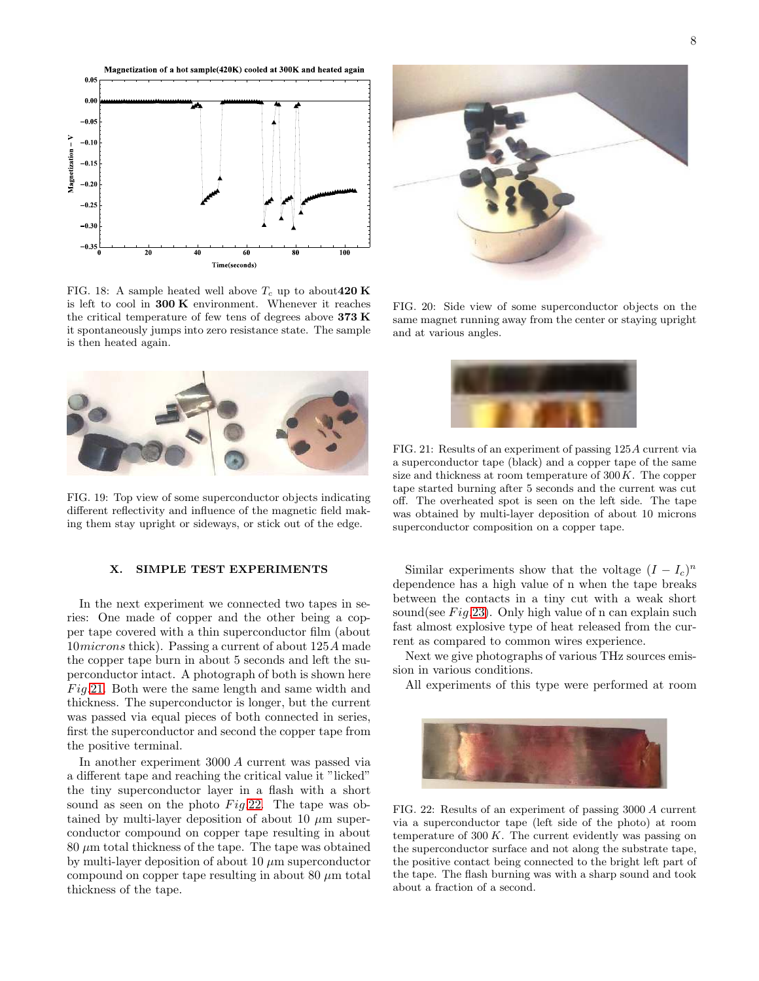

<span id="page-7-0"></span>FIG. 18: A sample heated well above  $T_c$  up to about 420 K is left to cool in  $300 \text{ K}$  environment. Whenever it reaches the critical temperature of few tens of degrees above 373 K it spontaneously jumps into zero resistance state. The sample is then heated again.



FIG. 19: Top view of some superconductor objects indicating different reflectivity and influence of the magnetic field making them stay upright or sideways, or stick out of the edge.

### <span id="page-7-1"></span>X. SIMPLE TEST EXPERIMENTS

In the next experiment we connected two tapes in series: One made of copper and the other being a copper tape covered with a thin superconductor film (about 10microns thick). Passing a current of about 125A made the copper tape burn in about 5 seconds and left the superconductor intact. A photograph of both is shown here  $Fig.21.$  $Fig.21.$  Both were the same length and same width and thickness. The superconductor is longer, but the current was passed via equal pieces of both connected in series, first the superconductor and second the copper tape from the positive terminal.

In another experiment 3000 A current was passed via a different tape and reaching the critical value it "licked" the tiny superconductor layer in a flash with a short sound as seen on the photo  $Fig.22$ . The tape was obtained by multi-layer deposition of about 10  $\mu$ m superconductor compound on copper tape resulting in about  $80 \mu m$  total thickness of the tape. The tape was obtained by multi-layer deposition of about 10  $\mu$ m superconductor compound on copper tape resulting in about 80  $\mu$ m total thickness of the tape.



FIG. 20: Side view of some superconductor objects on the same magnet running away from the center or staying upright and at various angles.

<span id="page-7-3"></span><span id="page-7-2"></span>

FIG. 21: Results of an experiment of passing 125A current via a superconductor tape (black) and a copper tape of the same size and thickness at room temperature of  $300K$ . The copper tape started burning after 5 seconds and the current was cut off. The overheated spot is seen on the left side. The tape was obtained by multi-layer deposition of about 10 microns superconductor composition on a copper tape.

Similar experiments show that the voltage  $(I - I_c)^n$ dependence has a high value of n when the tape breaks between the contacts in a tiny cut with a weak short sound(see  $Fig.23$ ). Only high value of n can explain such fast almost explosive type of heat released from the current as compared to common wires experience.

Next we give photographs of various THz sources emission in various conditions.

All experiments of this type were performed at room

<span id="page-7-4"></span>

FIG. 22: Results of an experiment of passing 3000 A current via a superconductor tape (left side of the photo) at room temperature of  $300 K$ . The current evidently was passing on the superconductor surface and not along the substrate tape, the positive contact being connected to the bright left part of the tape. The flash burning was with a sharp sound and took about a fraction of a second.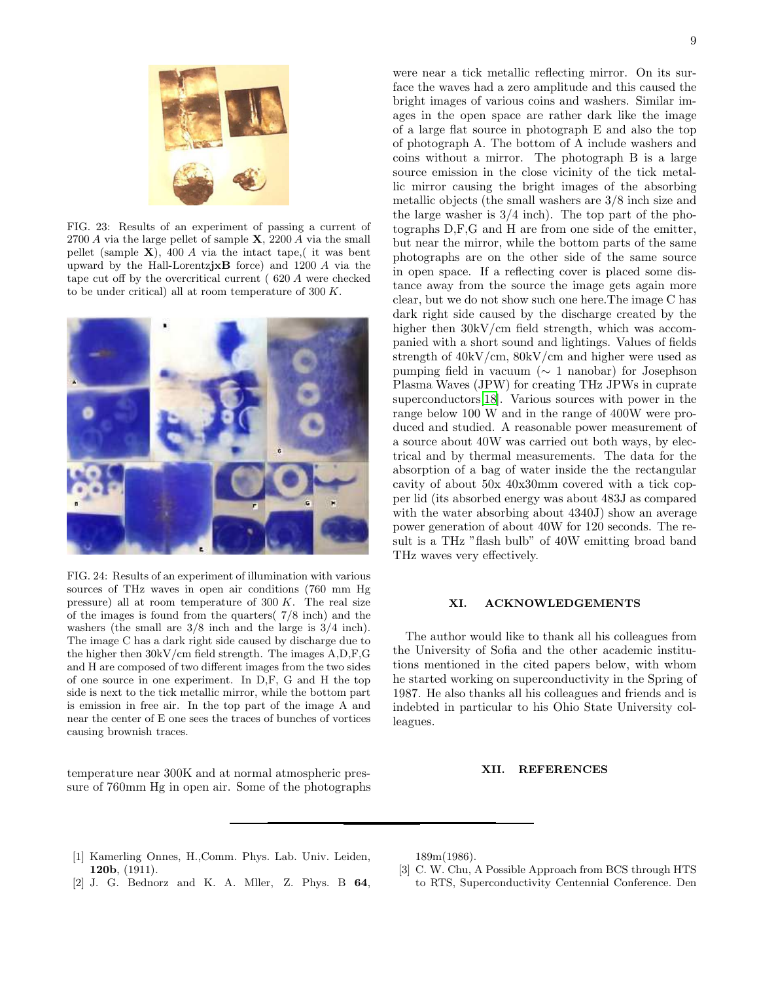

FIG. 23: Results of an experiment of passing a current of 2700 A via the large pellet of sample  $\mathbf{X}$ , 2200 A via the small pellet (sample  $X$ ), 400 A via the intact tape, it was bent upward by the Hall-LorentzjxB force) and 1200 A via the tape cut off by the overcritical current ( 620 A were checked to be under critical) all at room temperature of  $300 K$ .

<span id="page-8-3"></span>

FIG. 24: Results of an experiment of illumination with various sources of THz waves in open air conditions (760 mm Hg pressure) all at room temperature of 300 K. The real size of the images is found from the quarters( 7/8 inch) and the washers (the small are 3/8 inch and the large is 3/4 inch). The image C has a dark right side caused by discharge due to the higher then 30kV/cm field strength. The images A,D,F,G and H are composed of two different images from the two sides of one source in one experiment. In D,F, G and H the top side is next to the tick metallic mirror, while the bottom part is emission in free air. In the top part of the image A and near the center of E one sees the traces of bunches of vortices causing brownish traces.

temperature near 300K and at normal atmospheric pressure of 760mm Hg in open air. Some of the photographs

were near a tick metallic reflecting mirror. On its surface the waves had a zero amplitude and this caused the bright images of various coins and washers. Similar images in the open space are rather dark like the image of a large flat source in photograph E and also the top of photograph A. The bottom of A include washers and coins without a mirror. The photograph B is a large source emission in the close vicinity of the tick metallic mirror causing the bright images of the absorbing metallic objects (the small washers are 3/8 inch size and the large washer is  $3/4$  inch). The top part of the photographs D,F,G and H are from one side of the emitter, but near the mirror, while the bottom parts of the same photographs are on the other side of the same source in open space. If a reflecting cover is placed some distance away from the source the image gets again more clear, but we do not show such one here.The image C has dark right side caused by the discharge created by the higher then  $30kV/cm$  field strength, which was accompanied with a short sound and lightings. Values of fields strength of 40kV/cm, 80kV/cm and higher were used as pumping field in vacuum (∼ 1 nanobar) for Josephson Plasma Waves (JPW) for creating THz JPWs in cuprate superconductors[\[18\]](#page-9-8). Various sources with power in the range below 100 W and in the range of 400W were produced and studied. A reasonable power measurement of a source about 40W was carried out both ways, by electrical and by thermal measurements. The data for the absorption of a bag of water inside the the rectangular cavity of about 50x 40x30mm covered with a tick copper lid (its absorbed energy was about 483J as compared with the water absorbing about 4340J) show an average power generation of about 40W for 120 seconds. The result is a THz "flash bulb" of 40W emitting broad band THz waves very effectively.

### XI. ACKNOWLEDGEMENTS

The author would like to thank all his colleagues from the University of Sofia and the other academic institutions mentioned in the cited papers below, with whom he started working on superconductivity in the Spring of 1987. He also thanks all his colleagues and friends and is indebted in particular to his Ohio State University colleagues.

#### XII. REFERENCES

- <span id="page-8-0"></span>[1] Kamerling Onnes, H.,Comm. Phys. Lab. Univ. Leiden, 120b, (1911).
- <span id="page-8-1"></span>[2] J. G. Bednorz and K. A. Mller, Z. Phys. B 64,

189m(1986).

<span id="page-8-2"></span>[3] C. W. Chu, A Possible Approach from BCS through HTS to RTS, Superconductivity Centennial Conference. Den